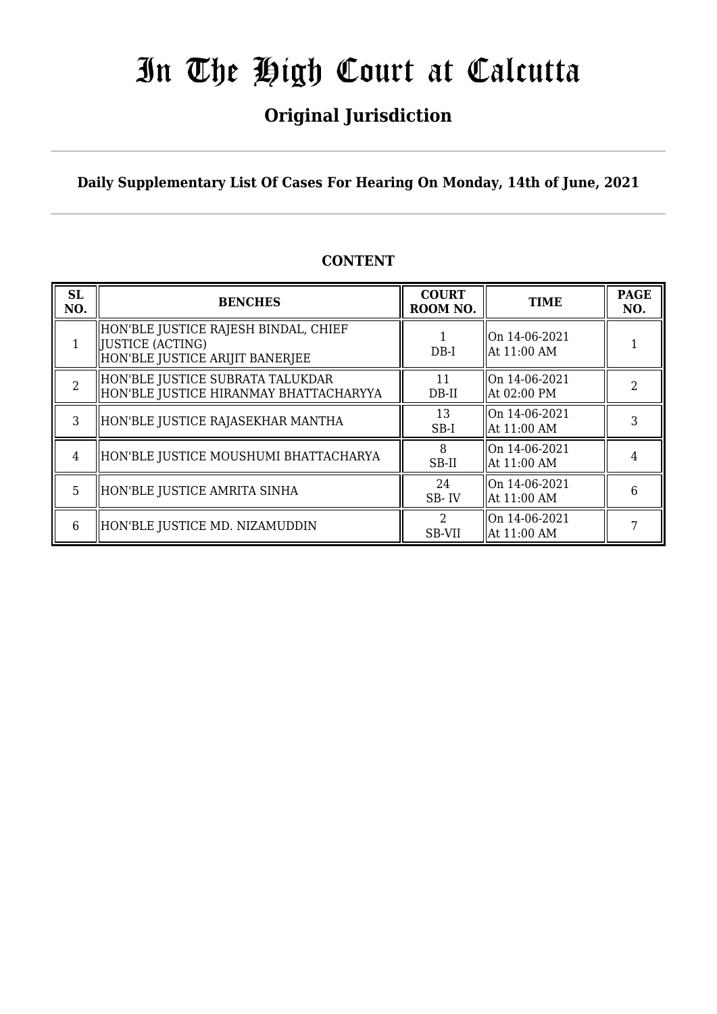## **Original Jurisdiction**

**Daily Supplementary List Of Cases For Hearing On Monday, 14th of June, 2021**

| <b>SL</b><br>NO.         | <b>BENCHES</b>                                                                                | <b>COURT</b><br>ROOM NO. | <b>TIME</b>                       | <b>PAGE</b><br>NO. |
|--------------------------|-----------------------------------------------------------------------------------------------|--------------------------|-----------------------------------|--------------------|
|                          | HON'BLE JUSTICE RAJESH BINDAL, CHIEF<br>  JUSTICE (ACTING)<br>HON'BLE JUSTICE ARIJIT BANERJEE | $DB-I$                   | $ On 14-06-2021$<br>  At 11:00 AM |                    |
| $\overline{\mathcal{L}}$ | HON'BLE JUSTICE SUBRATA TALUKDAR<br>HON'BLE JUSTICE HIRANMAY BHATTACHARYYA                    | 11<br>$DB-II$            | On 14-06-2021<br>At 02:00 PM      | າ                  |
| 3                        | HON'BLE JUSTICE RAJASEKHAR MANTHA                                                             | 13<br>$SB-I$             | On 14-06-2021<br>  At 11:00 AM    | 3                  |
| 4                        | HON'BLE JUSTICE MOUSHUMI BHATTACHARYA                                                         | 8<br>SB-II               | $ On 14-06-2021$<br>  At 11:00 AM |                    |
| 5                        | HON'BLE JUSTICE AMRITA SINHA                                                                  | 24<br>SB-IV              | On 14-06-2021<br>  At 11:00 AM    | 6                  |
| 6                        | HON'BLE JUSTICE MD. NIZAMUDDIN                                                                | 2<br>SB-VII              | On 14-06-2021<br>  At 11:00 AM    |                    |

## **CONTENT**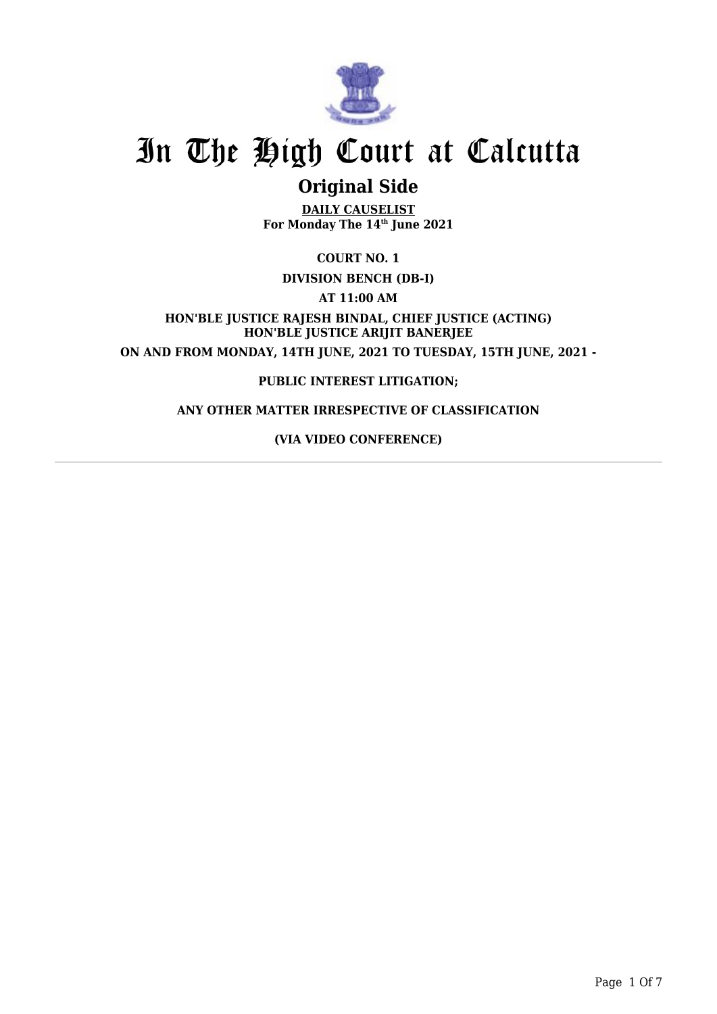

## **Original Side**

**DAILY CAUSELIST For Monday The 14th June 2021**

**COURT NO. 1**

**DIVISION BENCH (DB-I)**

**AT 11:00 AM**

**HON'BLE JUSTICE RAJESH BINDAL, CHIEF JUSTICE (ACTING) HON'BLE JUSTICE ARIJIT BANERJEE ON AND FROM MONDAY, 14TH JUNE, 2021 TO TUESDAY, 15TH JUNE, 2021 -**

### **PUBLIC INTEREST LITIGATION;**

### **ANY OTHER MATTER IRRESPECTIVE OF CLASSIFICATION**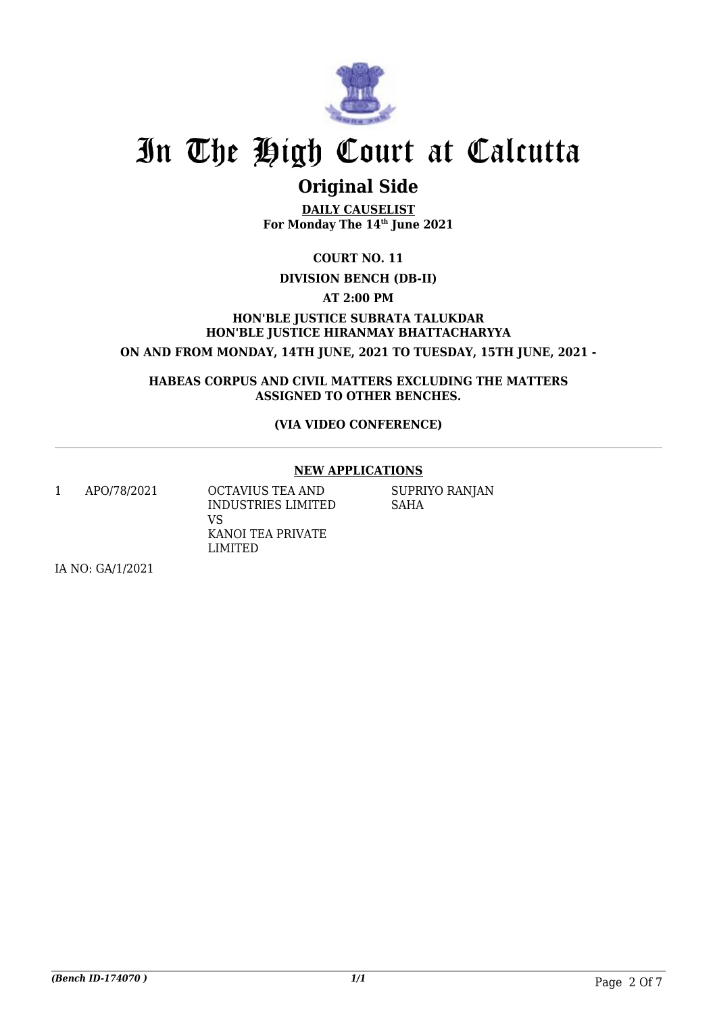

## **Original Side**

**DAILY CAUSELIST For Monday The 14th June 2021**

**COURT NO. 11**

### **DIVISION BENCH (DB-II)**

**AT 2:00 PM**

**HON'BLE JUSTICE SUBRATA TALUKDAR HON'BLE JUSTICE HIRANMAY BHATTACHARYYA ON AND FROM MONDAY, 14TH JUNE, 2021 TO TUESDAY, 15TH JUNE, 2021 -**

**HABEAS CORPUS AND CIVIL MATTERS EXCLUDING THE MATTERS ASSIGNED TO OTHER BENCHES.**

### **(VIA VIDEO CONFERENCE)**

### **NEW APPLICATIONS**

1 APO/78/2021 OCTAVIUS TEA AND VS

IA NO: GA/1/2021

INDUSTRIES LIMITED KANOI TEA PRIVATE LIMITED

SUPRIYO RANJAN SAHA

*(Bench ID-174070 ) 1/1* Page 2 Of 7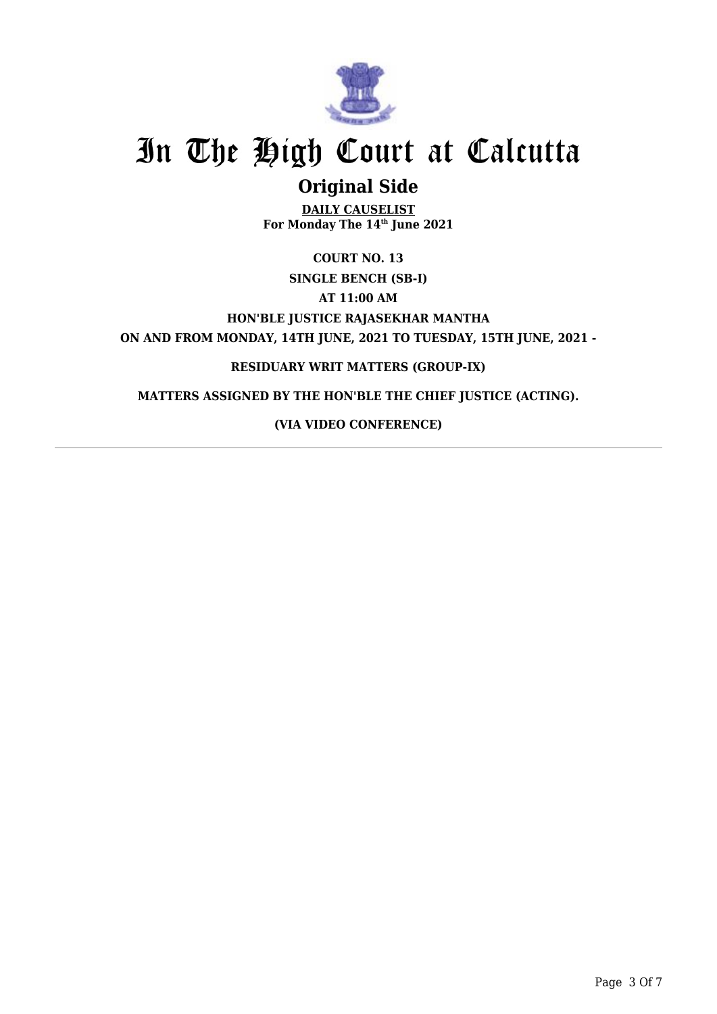

## **Original Side**

**DAILY CAUSELIST For Monday The 14th June 2021**

**COURT NO. 13 SINGLE BENCH (SB-I) AT 11:00 AM HON'BLE JUSTICE RAJASEKHAR MANTHA ON AND FROM MONDAY, 14TH JUNE, 2021 TO TUESDAY, 15TH JUNE, 2021 -**

## **RESIDUARY WRIT MATTERS (GROUP-IX)**

**MATTERS ASSIGNED BY THE HON'BLE THE CHIEF JUSTICE (ACTING).**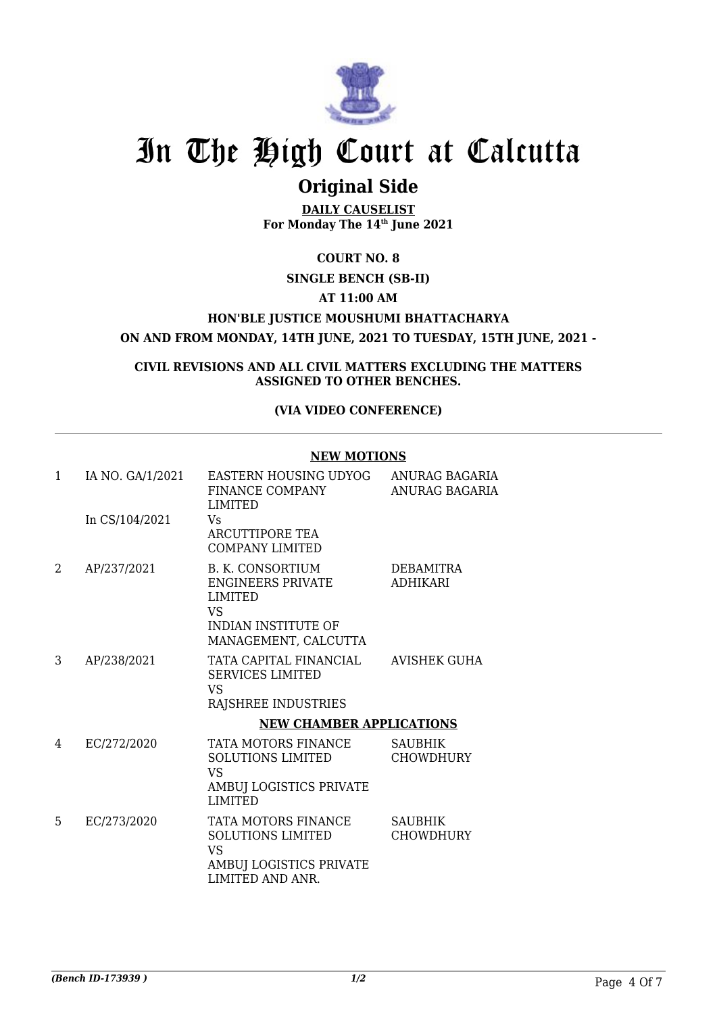

## **Original Side**

**DAILY CAUSELIST For Monday The 14th June 2021**

**COURT NO. 8**

### **SINGLE BENCH (SB-II)**

### **AT 11:00 AM**

### **HON'BLE JUSTICE MOUSHUMI BHATTACHARYA**

**ON AND FROM MONDAY, 14TH JUNE, 2021 TO TUESDAY, 15TH JUNE, 2021 -**

**CIVIL REVISIONS AND ALL CIVIL MATTERS EXCLUDING THE MATTERS ASSIGNED TO OTHER BENCHES.**

#### **(VIA VIDEO CONFERENCE)**

#### **NEW MOTIONS**

| 1  | IA NO. GA/1/2021 | EASTERN HOUSING UDYOG<br>FINANCE COMPANY<br><b>LIMITED</b>                                                                               | ANURAG BAGARIA<br>ANURAG BAGARIA    |
|----|------------------|------------------------------------------------------------------------------------------------------------------------------------------|-------------------------------------|
|    | In CS/104/2021   | Vs.<br><b>ARCUTTIPORE TEA</b><br>COMPANY LIMITED                                                                                         |                                     |
| 2  | AP/237/2021      | <b>B. K. CONSORTIUM</b><br><b>ENGINEERS PRIVATE</b><br><b>LIMITED</b><br><b>VS</b><br><b>INDIAN INSTITUTE OF</b><br>MANAGEMENT, CALCUTTA | <b>DEBAMITRA</b><br><b>ADHIKARI</b> |
| 3  | AP/238/2021      | TATA CAPITAL FINANCIAL<br><b>SERVICES LIMITED</b><br>VS<br>RAJSHREE INDUSTRIES                                                           | AVISHEK GUHA                        |
|    |                  | <b>NEW CHAMBER APPLICATIONS</b>                                                                                                          |                                     |
| 4  | EC/272/2020      | TATA MOTORS FINANCE<br><b>SOLUTIONS LIMITED</b><br>VS.<br>AMBUJ LOGISTICS PRIVATE<br><b>LIMITED</b>                                      | <b>SAUBHIK</b><br><b>CHOWDHURY</b>  |
| 5. | EC/273/2020      | TATA MOTORS FINANCE<br><b>SOLUTIONS LIMITED</b><br><b>VS</b><br>AMBUJ LOGISTICS PRIVATE<br>LIMITED AND ANR.                              | <b>SAUBHIK</b><br><b>CHOWDHURY</b>  |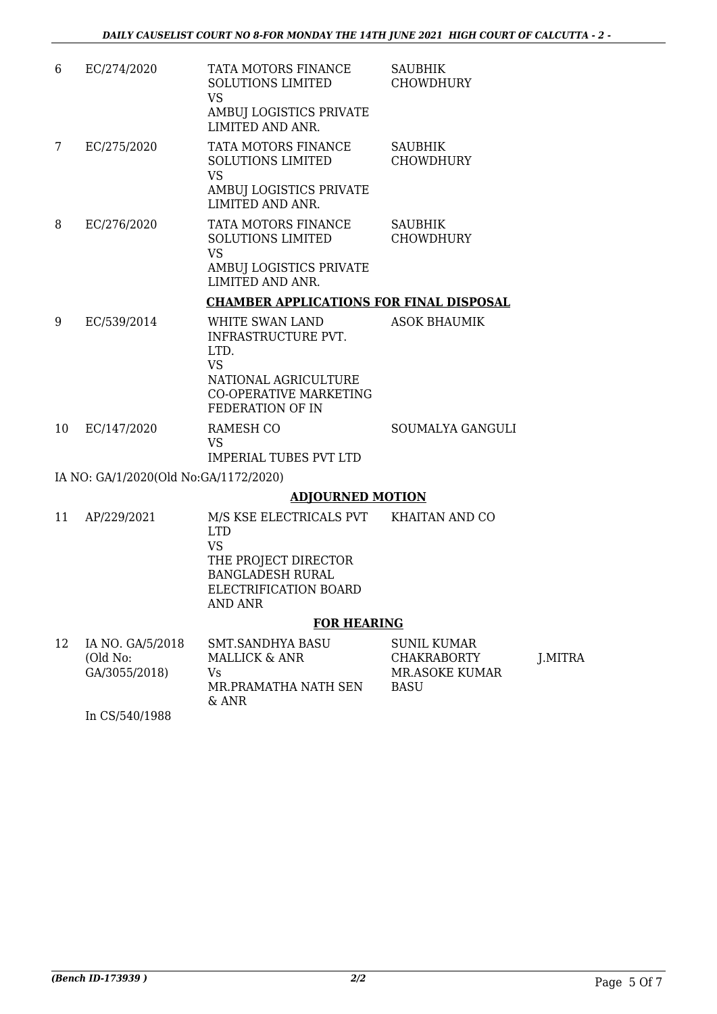| 6  | EC/274/2020                           | TATA MOTORS FINANCE<br><b>SOLUTIONS LIMITED</b><br>VS.<br>AMBUJ LOGISTICS PRIVATE<br>LIMITED AND ANR.                             | <b>SAUBHIK</b><br><b>CHOWDHURY</b> |
|----|---------------------------------------|-----------------------------------------------------------------------------------------------------------------------------------|------------------------------------|
| 7  | EC/275/2020                           | TATA MOTORS FINANCE<br><b>SOLUTIONS LIMITED</b><br><b>VS</b><br>AMBUJ LOGISTICS PRIVATE<br>LIMITED AND ANR.                       | <b>SAUBHIK</b><br><b>CHOWDHURY</b> |
| 8  | EC/276/2020                           | TATA MOTORS FINANCE<br><b>SOLUTIONS LIMITED</b><br><b>VS</b><br>AMBUJ LOGISTICS PRIVATE<br>LIMITED AND ANR.                       | <b>SAUBHIK</b><br><b>CHOWDHURY</b> |
|    |                                       | <b>CHAMBER APPLICATIONS FOR FINAL DISPOSAL</b>                                                                                    |                                    |
| 9  | EC/539/2014                           | WHITE SWAN LAND<br>INFRASTRUCTURE PVT.<br>LTD.<br>VS<br>NATIONAL AGRICULTURE<br><b>CO-OPERATIVE MARKETING</b><br>FEDERATION OF IN | <b>ASOK BHAUMIK</b>                |
| 10 | EC/147/2020                           | RAMESH CO<br><b>VS</b><br><b>IMPERIAL TUBES PVT LTD</b>                                                                           | SOUMALYA GANGULI                   |
|    | IA NO: GA/1/2020(Old No:GA/1172/2020) |                                                                                                                                   |                                    |

### **ADJOURNED MOTION**

| 11 | AP/229/2021 | M/S KSE ELECTRICALS PVT<br>LTD.<br>VS<br>THE PROJECT DIRECTOR<br><b>BANGLADESH RURAL</b><br>ELECTRIFICATION BOARD | KHAITAN AND CO |
|----|-------------|-------------------------------------------------------------------------------------------------------------------|----------------|
|    |             | AND ANR                                                                                                           |                |
|    |             | <b>FOR HEARING</b>                                                                                                |                |

| 12 | IA NO. GA/5/2018<br>(Old No:<br>GA/3055/2018) | SMT.SANDHYA BASU<br>MALLICK & ANR<br>Vs<br>MR PRAMATHA NATH SEN | SUNIL KUMAR<br><b>CHAKRABORTY</b><br>MR ASOKE KUMAR<br><b>BASU</b> | J.MITRA |
|----|-----------------------------------------------|-----------------------------------------------------------------|--------------------------------------------------------------------|---------|
|    |                                               | $\&$ ANR                                                        |                                                                    |         |
|    | In CS/540/1988                                |                                                                 |                                                                    |         |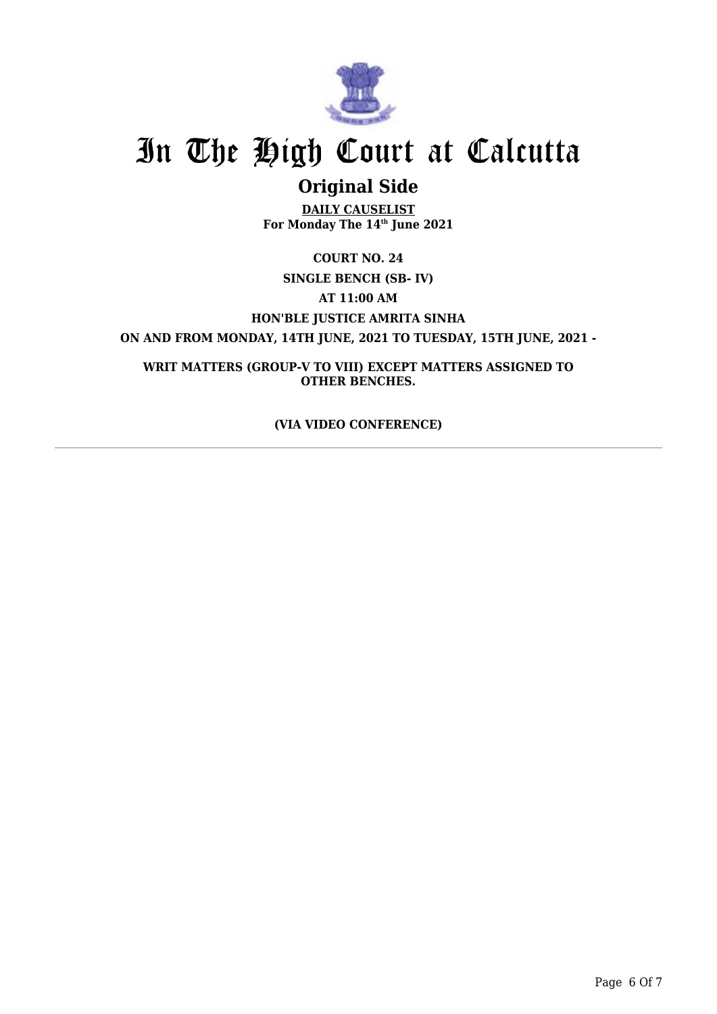

## **Original Side**

**DAILY CAUSELIST For Monday The 14th June 2021**

**COURT NO. 24 SINGLE BENCH (SB- IV) AT 11:00 AM HON'BLE JUSTICE AMRITA SINHA ON AND FROM MONDAY, 14TH JUNE, 2021 TO TUESDAY, 15TH JUNE, 2021 -**

**WRIT MATTERS (GROUP-V TO VIII) EXCEPT MATTERS ASSIGNED TO OTHER BENCHES.**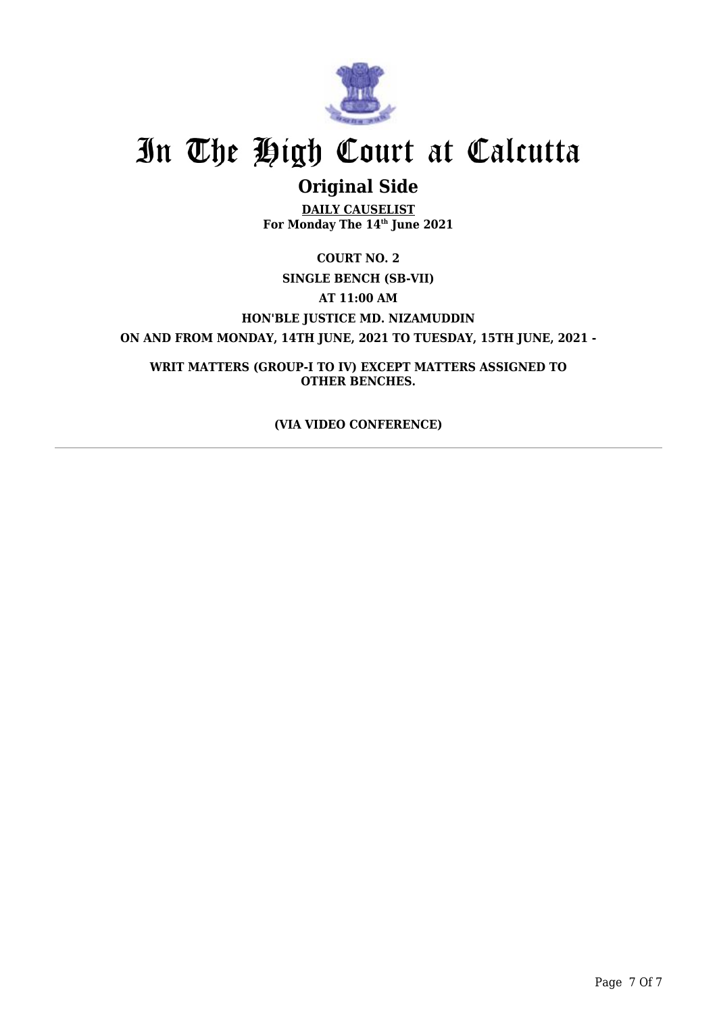

## **Original Side**

**DAILY CAUSELIST For Monday The 14th June 2021**

**COURT NO. 2 SINGLE BENCH (SB-VII) AT 11:00 AM HON'BLE JUSTICE MD. NIZAMUDDIN ON AND FROM MONDAY, 14TH JUNE, 2021 TO TUESDAY, 15TH JUNE, 2021 -**

**WRIT MATTERS (GROUP-I TO IV) EXCEPT MATTERS ASSIGNED TO OTHER BENCHES.**